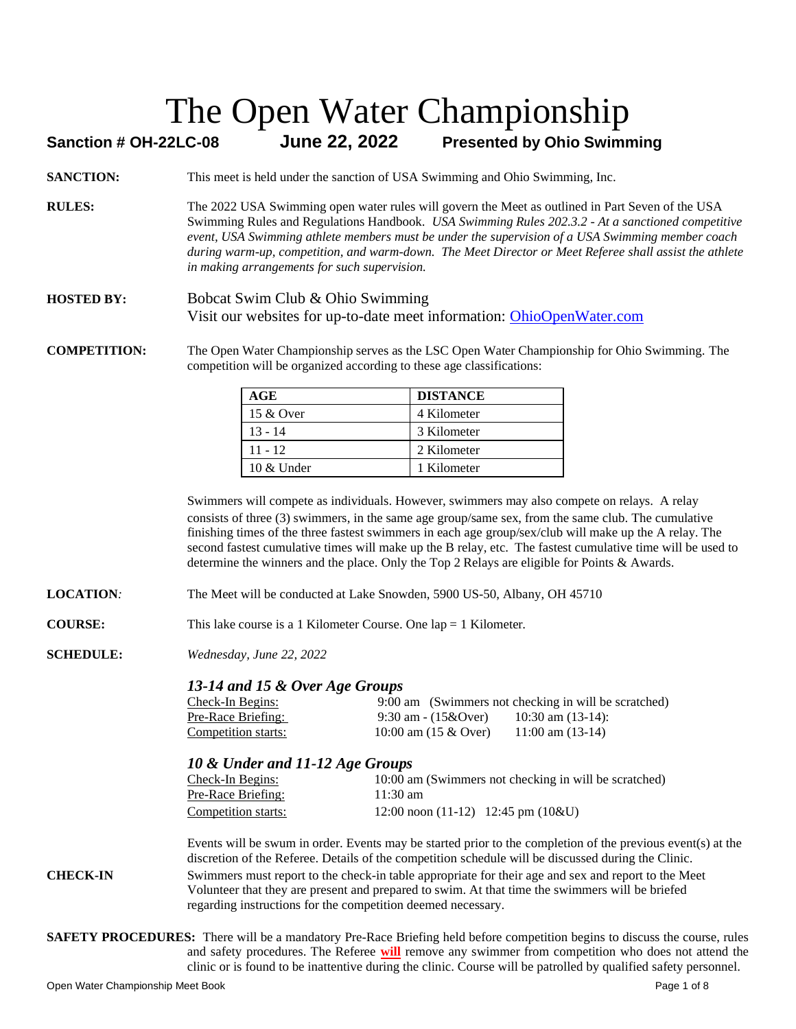#### **Sanction # OH-22LC-08 June 22, 2022 Presented by Ohio Swimming**

- **SANCTION:** This meet is held under the sanction of USA Swimming and Ohio Swimming, Inc.
- **RULES:** The 2022 USA Swimming open water rules will govern the Meet as outlined in Part Seven of the USA Swimming Rules and Regulations Handbook. *USA Swimming Rules 202.3.2 - At a sanctioned competitive event, USA Swimming athlete members must be under the supervision of a USA Swimming member coach during warm-up, competition, and warm-down. The Meet Director or Meet Referee shall assist the athlete in making arrangements for such supervision.*
- **HOSTED BY:** Bobcat Swim Club & Ohio Swimming Visit our websites for up-to-date meet information: [OhioOpenWater.com](http://www.ohioopenwater.com/)

**COMPETITION:** The Open Water Championship serves as the LSC Open Water Championship for Ohio Swimming. The competition will be organized according to these age classifications:

| AGE           | <b>DISTANCE</b> |
|---------------|-----------------|
| 15 & Over     | 4 Kilometer     |
| $13 - 14$     | 3 Kilometer     |
| $11 - 12$     | 2 Kilometer     |
| $10 \&$ Under | 1 Kilometer     |

Swimmers will compete as individuals. However, swimmers may also compete on relays. A relay consists of three (3) swimmers, in the same age group/same sex, from the same club. The cumulative finishing times of the three fastest swimmers in each age group/sex/club will make up the A relay. The second fastest cumulative times will make up the B relay, etc. The fastest cumulative time will be used to determine the winners and the place. Only the Top 2 Relays are eligible for Points & Awards.

- **LOCATION***:* The Meet will be conducted at Lake Snowden, 5900 US-50, Albany, OH 45710
- **COURSE:** This lake course is a 1 Kilometer Course. One lap = 1 Kilometer.
- **SCHEDULE:** *Wednesday, June 22, 2022*

#### *13-14 and 15 & Over Age Groups*

| <u>Check-In Begins:</u> |                               | 9:00 am (Swimmers not checking in will be scratched) |
|-------------------------|-------------------------------|------------------------------------------------------|
| Pre-Race Briefing:      | 9:30 am - $(15&0 \text{ver})$ | 10:30 am $(13-14)$ :                                 |
| Competition starts:     | 10:00 am $(15 \& Qver)$       | $11:00$ am $(13-14)$                                 |

#### *10 & Under and 11-12 Age Groups*

| Check-In Begins:    | 10:00 am (Swimmers not checking in will be scratched) |
|---------------------|-------------------------------------------------------|
| Pre-Race Briefing:  | $11:30 \text{ am}$                                    |
| Competition starts: | 12:00 noon $(11-12)$ 12:45 pm $(10\&U)$               |

Events will be swum in order. Events may be started prior to the completion of the previous event(s) at the discretion of the Referee. Details of the competition schedule will be discussed during the Clinic.

**CHECK-IN** Swimmers must report to the check-in table appropriate for their age and sex and report to the Meet Volunteer that they are present and prepared to swim. At that time the swimmers will be briefed regarding instructions for the competition deemed necessary.

**SAFETY PROCEDURES:** There will be a mandatory Pre-Race Briefing held before competition begins to discuss the course, rules and safety procedures. The Referee **will** remove any swimmer from competition who does not attend the clinic or is found to be inattentive during the clinic. Course will be patrolled by qualified safety personnel.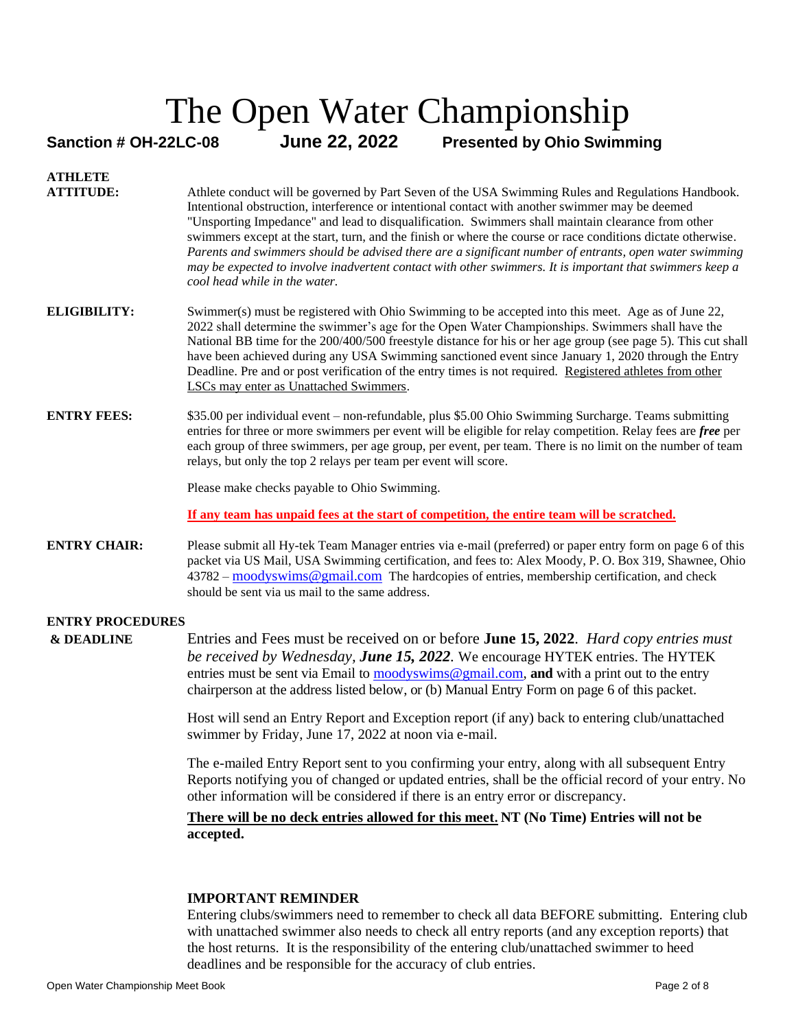#### **Sanction # OH-22LC-08 June 22, 2022 Presented by Ohio Swimming**

#### **ATHLETE ATTITUDE:** Athlete conduct will be governed by Part Seven of the USA Swimming Rules and Regulations Handbook. Intentional obstruction, interference or intentional contact with another swimmer may be deemed "Unsporting Impedance" and lead to disqualification. Swimmers shall maintain clearance from other swimmers except at the start, turn, and the finish or where the course or race conditions dictate otherwise*. Parents and swimmers should be advised there are a significant number of entrants, open water swimming may be expected to involve inadvertent contact with other swimmers. It is important that swimmers keep a cool head while in the water.*  **ELIGIBILITY:** Swimmer(s) must be registered with Ohio Swimming to be accepted into this meet. Age as of June 22, 2022 shall determine the swimmer's age for the Open Water Championships. Swimmers shall have the National BB time for the 200/400/500 freestyle distance for his or her age group (see page 5). This cut shall have been achieved during any USA Swimming sanctioned event since January 1, 2020 through the Entry Deadline. Pre and or post verification of the entry times is not required. Registered athletes from other LSCs may enter as Unattached Swimmers. **ENTRY FEES:** \$35.00 per individual event – non-refundable, plus \$5.00 Ohio Swimming Surcharge. Teams submitting entries for three or more swimmers per event will be eligible for relay competition. Relay fees are *free* per each group of three swimmers, per age group, per event, per team. There is no limit on the number of team relays, but only the top 2 relays per team per event will score. Please make checks payable to Ohio Swimming. **If any team has unpaid fees at the start of competition, the entire team will be scratched.**

**ENTRY CHAIR:** Please submit all Hy-tek Team Manager entries via e-mail (preferred) or paper entry form on page 6 of this packet via US Mail, USA Swimming certification, and fees to: Alex Moody, P. O. Box 319, Shawnee, Ohio 43782 – [moodyswims@gmail.com](mailto:moodyswims@gmail.com) The hardcopies of entries, membership certification, and check should be sent via us mail to the same address.

#### **ENTRY PROCEDURES**

**& DEADLINE** Entries and Fees must be received on or before **June 15, 2022**. *Hard copy entries must be received by Wednesday, June 15, 2022.* We encourage HYTEK entries. The HYTEK entries must be sent via Email to [moodyswims@gmail.com,](mailto:moodyswims@gmail.com) **and** with a print out to the entry chairperson at the address listed below, or (b) Manual Entry Form on page 6 of this packet.

> Host will send an Entry Report and Exception report (if any) back to entering club/unattached swimmer by Friday, June 17, 2022 at noon via e-mail.

The e-mailed Entry Report sent to you confirming your entry, along with all subsequent Entry Reports notifying you of changed or updated entries, shall be the official record of your entry. No other information will be considered if there is an entry error or discrepancy.

#### **There will be no deck entries allowed for this meet. NT (No Time) Entries will not be accepted.**

#### **IMPORTANT REMINDER**

Entering clubs/swimmers need to remember to check all data BEFORE submitting. Entering club with unattached swimmer also needs to check all entry reports (and any exception reports) that the host returns. It is the responsibility of the entering club/unattached swimmer to heed deadlines and be responsible for the accuracy of club entries.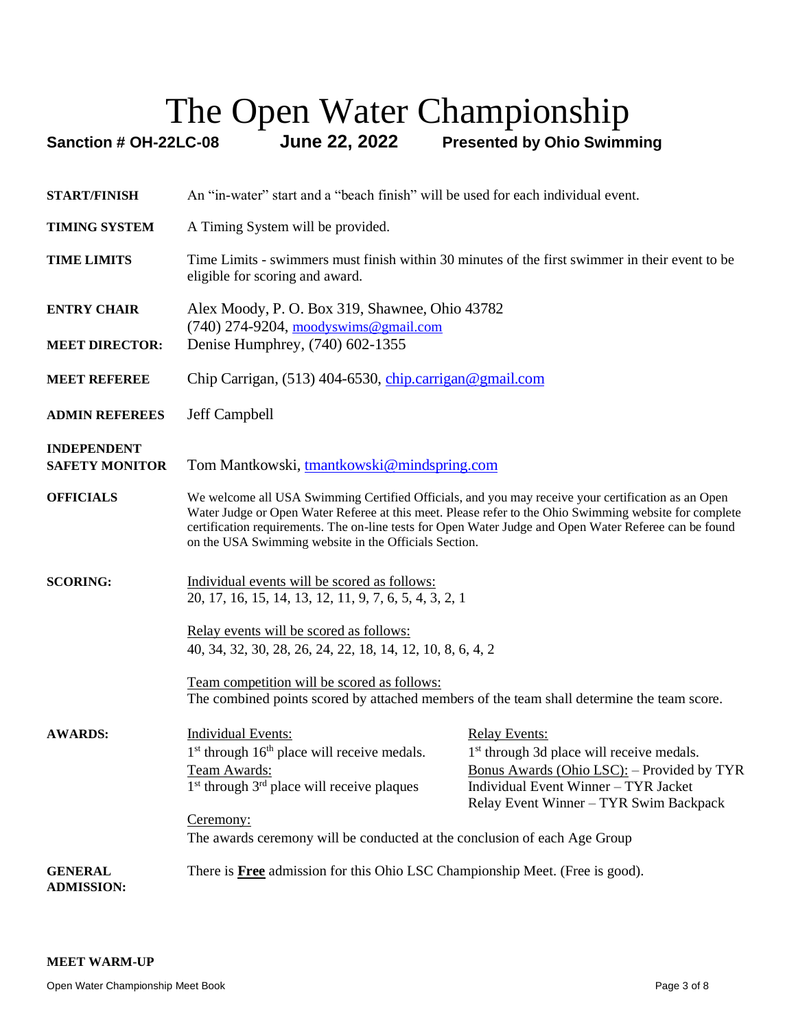# The Open Water Championship<br>Sanction # OH-22LC-08 June 22, 2022 Presented by Ohio Swimn

**Presented by Ohio Swimming** 

| <b>START/FINISH</b>                         | An "in-water" start and a "beach finish" will be used for each individual event.                                                                                                                                                                                                                                                                                                |                                                                                                                                                                                                               |  |  |  |  |  |  |
|---------------------------------------------|---------------------------------------------------------------------------------------------------------------------------------------------------------------------------------------------------------------------------------------------------------------------------------------------------------------------------------------------------------------------------------|---------------------------------------------------------------------------------------------------------------------------------------------------------------------------------------------------------------|--|--|--|--|--|--|
| <b>TIMING SYSTEM</b>                        | A Timing System will be provided.                                                                                                                                                                                                                                                                                                                                               |                                                                                                                                                                                                               |  |  |  |  |  |  |
| <b>TIME LIMITS</b>                          | Time Limits - swimmers must finish within 30 minutes of the first swimmer in their event to be<br>eligible for scoring and award.                                                                                                                                                                                                                                               |                                                                                                                                                                                                               |  |  |  |  |  |  |
| <b>ENTRY CHAIR</b><br><b>MEET DIRECTOR:</b> | Alex Moody, P. O. Box 319, Shawnee, Ohio 43782<br>$(740)$ 274-9204, moodyswims@gmail.com<br>Denise Humphrey, (740) 602-1355                                                                                                                                                                                                                                                     |                                                                                                                                                                                                               |  |  |  |  |  |  |
| <b>MEET REFEREE</b>                         | Chip Carrigan, (513) 404-6530, chip.carrigan@gmail.com                                                                                                                                                                                                                                                                                                                          |                                                                                                                                                                                                               |  |  |  |  |  |  |
| <b>ADMIN REFEREES</b>                       | Jeff Campbell                                                                                                                                                                                                                                                                                                                                                                   |                                                                                                                                                                                                               |  |  |  |  |  |  |
| <b>INDEPENDENT</b><br><b>SAFETY MONITOR</b> | Tom Mantkowski, tmantkowski@mindspring.com                                                                                                                                                                                                                                                                                                                                      |                                                                                                                                                                                                               |  |  |  |  |  |  |
| <b>OFFICIALS</b>                            | We welcome all USA Swimming Certified Officials, and you may receive your certification as an Open<br>Water Judge or Open Water Referee at this meet. Please refer to the Ohio Swimming website for complete<br>certification requirements. The on-line tests for Open Water Judge and Open Water Referee can be found<br>on the USA Swimming website in the Officials Section. |                                                                                                                                                                                                               |  |  |  |  |  |  |
| <b>SCORING:</b>                             | Individual events will be scored as follows:<br>20, 17, 16, 15, 14, 13, 12, 11, 9, 7, 6, 5, 4, 3, 2, 1                                                                                                                                                                                                                                                                          |                                                                                                                                                                                                               |  |  |  |  |  |  |
|                                             | Relay events will be scored as follows:<br>40, 34, 32, 30, 28, 26, 24, 22, 18, 14, 12, 10, 8, 6, 4, 2                                                                                                                                                                                                                                                                           |                                                                                                                                                                                                               |  |  |  |  |  |  |
|                                             | Team competition will be scored as follows:<br>The combined points scored by attached members of the team shall determine the team score.                                                                                                                                                                                                                                       |                                                                                                                                                                                                               |  |  |  |  |  |  |
| <b>AWARDS:</b>                              | <b>Individual Events:</b><br>$1st$ through $16th$ place will receive medals.<br>Team Awards:<br>$1st$ through $3rd$ place will receive plaques<br>Ceremony:<br>The awards ceremony will be conducted at the conclusion of each Age Group                                                                                                                                        | <b>Relay Events:</b><br>1 <sup>st</sup> through 3d place will receive medals.<br>Bonus Awards (Ohio LSC): - Provided by TYR<br>Individual Event Winner - TYR Jacket<br>Relay Event Winner - TYR Swim Backpack |  |  |  |  |  |  |
| <b>GENERAL</b><br><b>ADMISSION:</b>         | There is <b>Free</b> admission for this Ohio LSC Championship Meet. (Free is good).                                                                                                                                                                                                                                                                                             |                                                                                                                                                                                                               |  |  |  |  |  |  |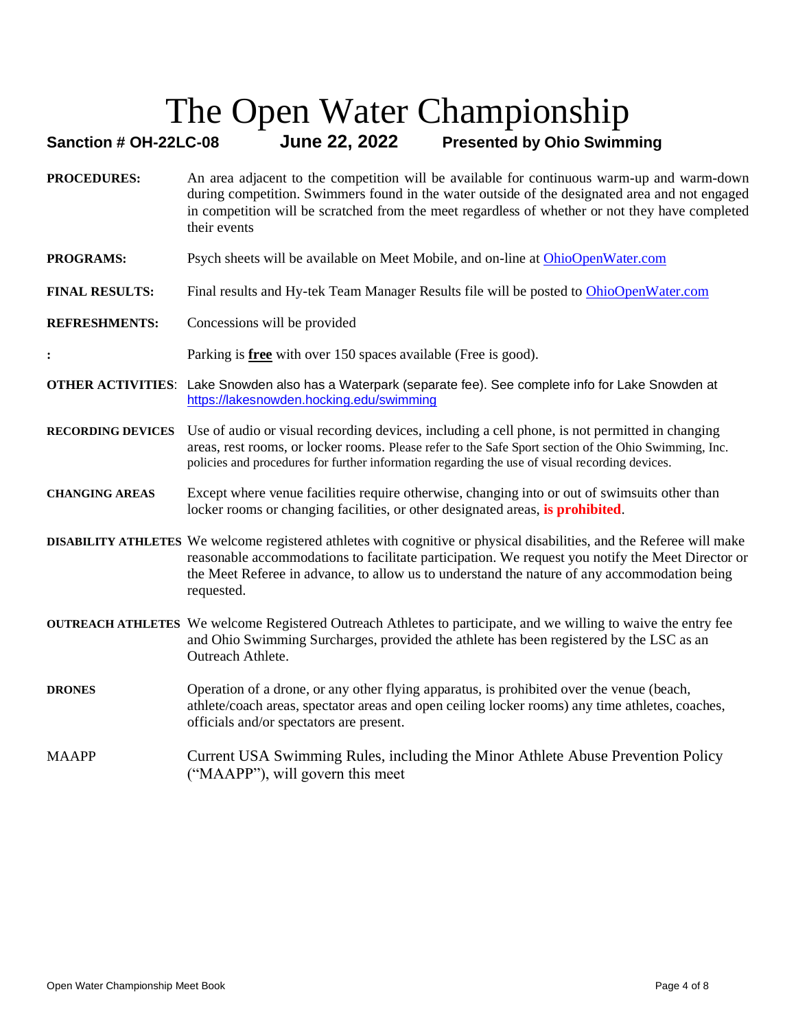#### **Sanction # OH-22LC-08 June 22, 2022 Presented by Ohio Swimming**

- **PROCEDURES:** An area adjacent to the competition will be available for continuous warm-up and warm-down during competition. Swimmers found in the water outside of the designated area and not engaged in competition will be scratched from the meet regardless of whether or not they have completed their events
- **PROGRAMS:** Psych sheets will be available on Meet Mobile, and on-line a[t OhioOpenWater.com](http://www.ohioopenwater.com/index.html)
- **FINAL RESULTS:** Final results and Hy-tek Team Manager Results file will be posted t[o OhioOpenWater.com](http://www.ohioopenwater.com/index.html)
- **REFRESHMENTS:** Concessions will be provided
- **:** Parking is **free** with over 150 spaces available (Free is good).
- **OTHER ACTIVITIES**: Lake Snowden also has a Waterpark (separate fee). See complete info for Lake Snowden at <https://lakesnowden.hocking.edu/swimming>
- **RECORDING DEVICES** Use of audio or visual recording devices, including a cell phone, is not permitted in changing areas, rest rooms, or locker rooms. Please refer to the Safe Sport section of the Ohio Swimming, Inc. policies and procedures for further information regarding the use of visual recording devices.

#### **CHANGING AREAS** Except where venue facilities require otherwise, changing into or out of swimsuits other than locker rooms or changing facilities, or other designated areas, **is prohibited**.

- **DISABILITY ATHLETES** We welcome registered athletes with cognitive or physical disabilities, and the Referee will make reasonable accommodations to facilitate participation. We request you notify the Meet Director or the Meet Referee in advance, to allow us to understand the nature of any accommodation being requested.
- **OUTREACH ATHLETES** We welcome Registered Outreach Athletes to participate, and we willing to waive the entry fee and Ohio Swimming Surcharges, provided the athlete has been registered by the LSC as an Outreach Athlete.
- **DRONES** Operation of a drone, or any other flying apparatus, is prohibited over the venue (beach, athlete/coach areas, spectator areas and open ceiling locker rooms) any time athletes, coaches, officials and/or spectators are present.

#### MAAPP Current USA Swimming Rules, including the Minor Athlete Abuse Prevention Policy ("MAAPP"), will govern this meet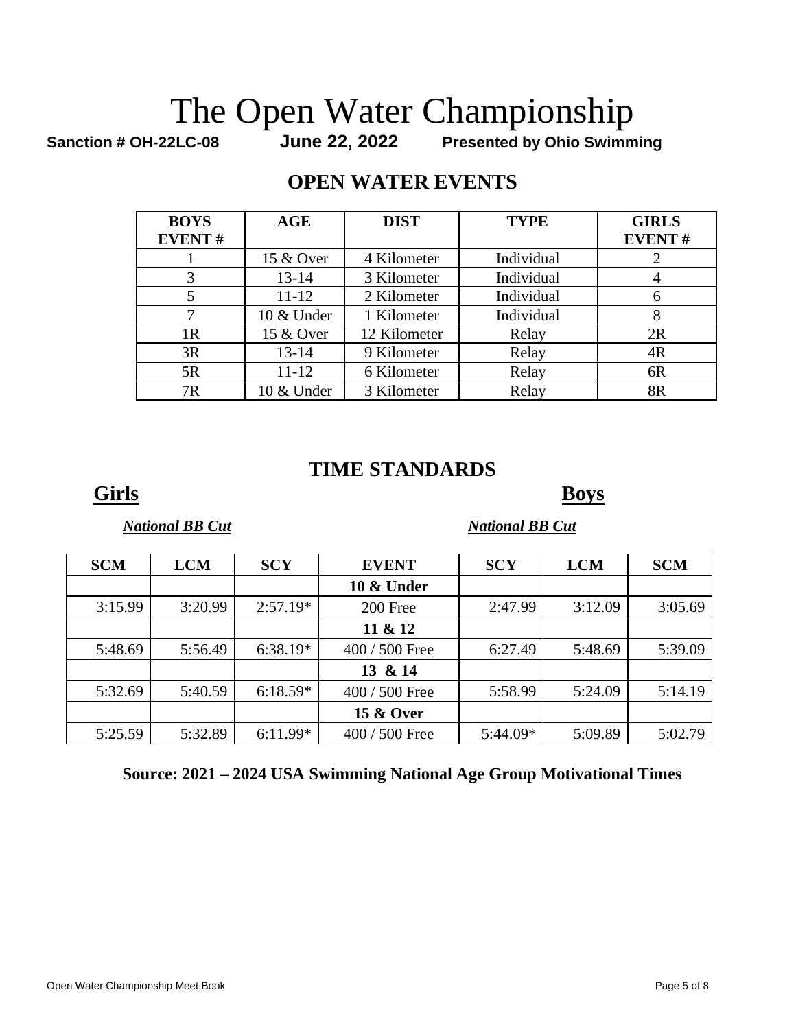# The Open Water Championship<br>Sanction # OH-22LC-08 June 22, 2022 Presented by Ohio Swimm

**Presented by Ohio Swimming** 

#### **OPEN WATER EVENTS**

| <b>BOYS</b>   | AGE        | <b>DIST</b>  | <b>TYPE</b> | <b>GIRLS</b>  |
|---------------|------------|--------------|-------------|---------------|
| <b>EVENT#</b> |            |              |             | <b>EVENT#</b> |
|               | 15 & Over  | 4 Kilometer  | Individual  |               |
| 3             | $13 - 14$  | 3 Kilometer  | Individual  |               |
|               | $11 - 12$  | 2 Kilometer  | Individual  |               |
|               | 10 & Under | 1 Kilometer  | Individual  |               |
| 1R            | 15 & Over  | 12 Kilometer | Relay       | 2R            |
| 3R            | $13 - 14$  | 9 Kilometer  | Relay       | 4R            |
| 5R            | 11-12      | 6 Kilometer  | Relay       | 6R            |
| 7R            | 10 & Under | 3 Kilometer  | Relay       | 8R            |

### **TIME STANDARDS**

**Girls Boys**

*National BB Cut* National BB Cut

| <b>SCM</b> | <b>LCM</b> | <b>SCY</b> | <b>EVENT</b>         | <b>SCY</b> | <b>LCM</b> | <b>SCM</b> |
|------------|------------|------------|----------------------|------------|------------|------------|
|            |            |            | 10 & Under           |            |            |            |
| 3:15.99    | 3:20.99    | $2:57.19*$ | 200 Free             | 2:47.99    | 3:12.09    | 3:05.69    |
|            |            |            | 11 & 12              |            |            |            |
| 5:48.69    | 5:56.49    | $6:38.19*$ | 400 / 500 Free       | 6:27.49    | 5:48.69    | 5:39.09    |
|            |            |            | 13 & 14              |            |            |            |
| 5:32.69    | 5:40.59    | $6:18.59*$ | $400 / 500$ Free     | 5:58.99    | 5:24.09    | 5:14.19    |
|            |            |            | <b>15 &amp; Over</b> |            |            |            |
| 5:25.59    | 5:32.89    | $6:11.99*$ | 400 / 500 Free       | $5:44.09*$ | 5:09.89    | 5:02.79    |

#### **Source: 2021 – 2024 USA Swimming National Age Group Motivational Times**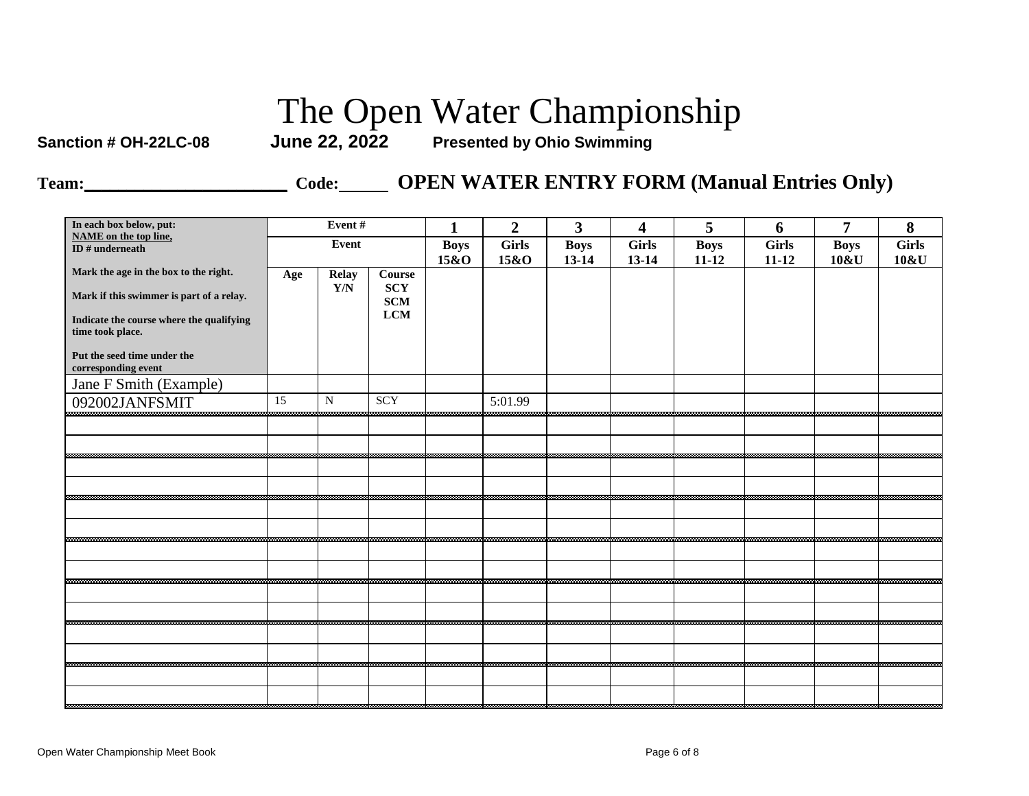**Sanction # OH-22LC-08 June 22, 2022 Presented by Ohio Swimming**

**Team:\_\_\_\_\_\_\_\_\_\_\_\_\_\_\_\_\_\_\_\_\_\_\_\_ Code: OPEN WATER ENTRY FORM (Manual Entries Only)**

| In each box below, put:                                                                                  |     | Event#                                  |                                           | $\mathbf{1}$ | $\overline{2}$ | $\mathbf{3}$ | $\overline{\mathbf{4}}$ | 5           | 6            | 7           | 8            |
|----------------------------------------------------------------------------------------------------------|-----|-----------------------------------------|-------------------------------------------|--------------|----------------|--------------|-------------------------|-------------|--------------|-------------|--------------|
| <b>NAME</b> on the top line,<br>ID $#$ underneath                                                        |     | Event                                   |                                           | <b>Boys</b>  | <b>Girls</b>   | <b>Boys</b>  | <b>Girls</b>            | <b>Boys</b> | <b>Girls</b> | <b>Boys</b> | <b>Girls</b> |
| Mark the age in the box to the right.                                                                    |     |                                         |                                           | 15&O         | 15&O           | $13 - 14$    | $13 - 14$               | $11 - 12$   | $11 - 12$    | 10&U        | 10&U         |
| Mark if this swimmer is part of a relay.<br>Indicate the course where the qualifying<br>time took place. | Age | <b>Relay</b><br>$\mathbf{Y}/\mathbf{N}$ | Course<br><b>SCY</b><br>SCM<br><b>LCM</b> |              |                |              |                         |             |              |             |              |
| Put the seed time under the<br>corresponding event                                                       |     |                                         |                                           |              |                |              |                         |             |              |             |              |
| Jane F Smith (Example)                                                                                   |     |                                         |                                           |              |                |              |                         |             |              |             |              |
| 092002JANFSMIT                                                                                           | 15  | ${\bf N}$                               | SCY                                       |              | 5:01.99        |              |                         |             |              |             |              |
|                                                                                                          |     |                                         |                                           |              |                |              |                         |             |              |             |              |
|                                                                                                          |     |                                         |                                           |              |                |              |                         |             |              |             |              |
|                                                                                                          |     |                                         |                                           |              |                |              |                         |             |              |             |              |
|                                                                                                          |     |                                         |                                           |              |                |              |                         |             |              |             |              |
|                                                                                                          |     |                                         |                                           |              |                |              |                         |             |              |             |              |
|                                                                                                          |     |                                         |                                           |              |                |              |                         |             |              |             |              |
|                                                                                                          |     |                                         |                                           |              |                |              |                         |             |              |             |              |
|                                                                                                          |     |                                         |                                           |              |                |              |                         |             |              |             |              |
|                                                                                                          |     |                                         |                                           |              |                |              |                         |             |              |             |              |
|                                                                                                          |     |                                         |                                           |              |                |              |                         |             |              |             |              |
|                                                                                                          |     |                                         |                                           |              |                |              |                         |             |              |             |              |
|                                                                                                          |     |                                         |                                           |              |                |              |                         |             |              |             |              |
|                                                                                                          |     |                                         |                                           |              |                |              |                         |             |              |             |              |
|                                                                                                          |     |                                         |                                           |              |                |              |                         |             |              |             |              |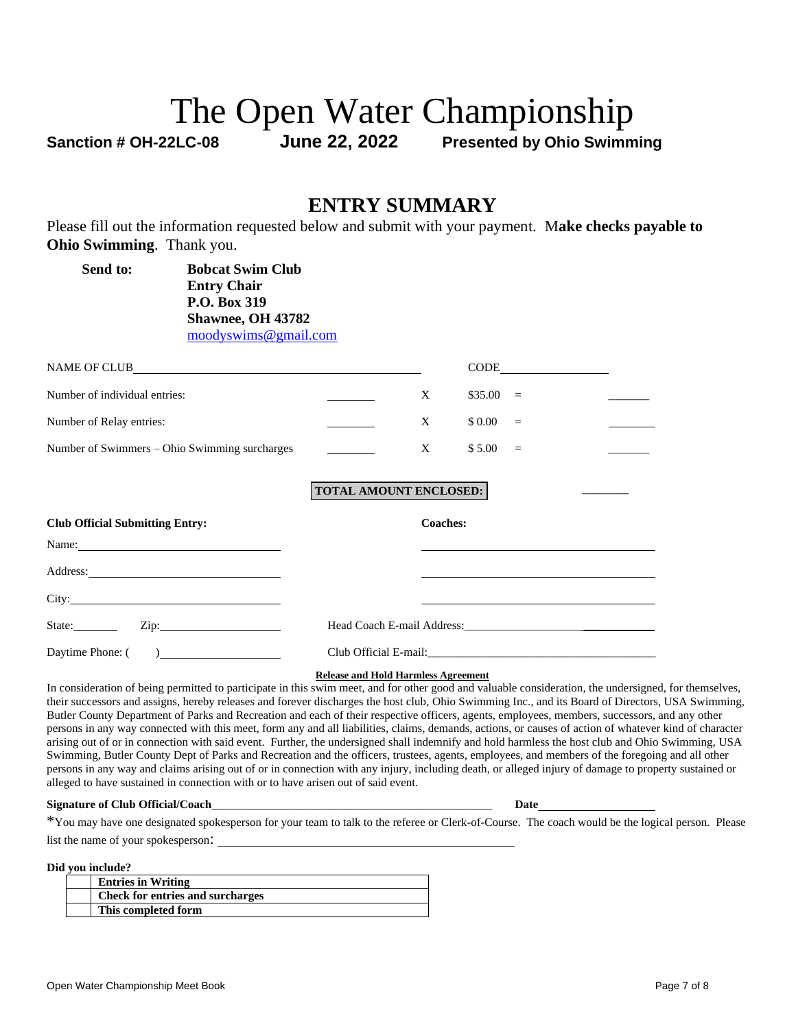**Sanction # OH-22LC-08 June 22, 2022 Presented by Ohio Swimming**

#### **ENTRY SUMMARY**

Please fill out the information requested below and submit with your payment. M**ake checks payable to Ohio Swimming**. Thank you.

| Send to:<br><b>Bobcat Swim Club</b><br><b>Entry Chair</b><br>P.O. Box 319<br>Shawnee, OH 43782<br>moodyswims@gmail.com |                               |                 |                        |  |
|------------------------------------------------------------------------------------------------------------------------|-------------------------------|-----------------|------------------------|--|
| NAME OF CLUB                                                                                                           |                               |                 | $CODE$ $\qquad \qquad$ |  |
| Number of individual entries:                                                                                          |                               | X               | $$35.00 =$             |  |
| Number of Relay entries:                                                                                               |                               | X               | \$ 0.00<br>$=$         |  |
| Number of Swimmers - Ohio Swimming surcharges                                                                          |                               | X               | \$5.00<br>$=$          |  |
|                                                                                                                        | <b>TOTAL AMOUNT ENCLOSED:</b> |                 |                        |  |
| <b>Club Official Submitting Entry:</b>                                                                                 |                               | <b>Coaches:</b> |                        |  |
| Name:                                                                                                                  |                               |                 |                        |  |
|                                                                                                                        |                               |                 |                        |  |
|                                                                                                                        |                               |                 |                        |  |
| State: <u>Zip:</u> Zip:                                                                                                |                               |                 |                        |  |
| Daytime Phone: (                                                                                                       |                               |                 |                        |  |

**Release and Hold Harmless Agreement**

In consideration of being permitted to participate in this swim meet, and for other good and valuable consideration, the undersigned, for themselves, their successors and assigns, hereby releases and forever discharges the host club, Ohio Swimming Inc., and its Board of Directors, USA Swimming, Butler County Department of Parks and Recreation and each of their respective officers, agents, employees, members, successors, and any other persons in any way connected with this meet, form any and all liabilities, claims, demands, actions, or causes of action of whatever kind of character arising out of or in connection with said event. Further, the undersigned shall indemnify and hold harmless the host club and Ohio Swimming, USA Swimming, Butler County Dept of Parks and Recreation and the officers, trustees, agents, employees, and members of the foregoing and all other persons in any way and claims arising out of or in connection with any injury, including death, or alleged injury of damage to property sustained or alleged to have sustained in connection with or to have arisen out of said event.

#### **Signature of Club Official/Coach**\_\_\_\_\_\_\_\_\_\_\_\_\_\_\_\_\_\_\_\_\_\_\_\_\_\_\_\_\_\_\_\_\_\_\_\_\_\_\_\_\_\_\_\_\_\_\_\_ **Date**

\*You may have one designated spokesperson for your team to talk to the referee or Clerk-of-Course. The coach would be the logical person. Please list the name of your spokesperson:

**Did you include?**

| vvu muuut.                       |
|----------------------------------|
| <b>Entries in Writing</b>        |
| Check for entries and surcharges |
| This completed form              |